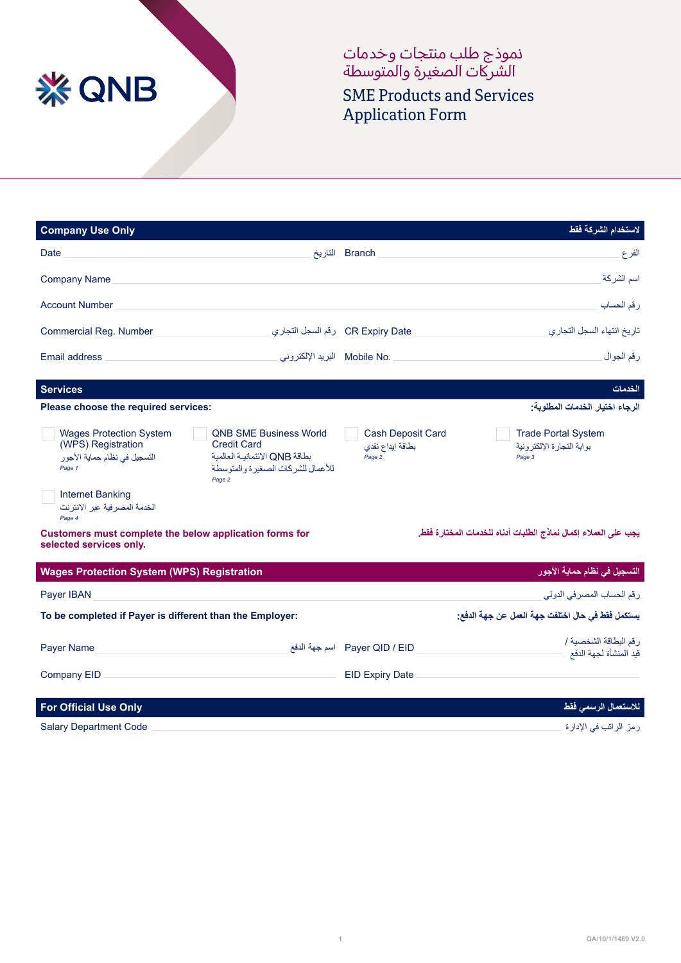

نموذج طلب منتجات وخدمات الشركات الصغيرة والمتوسطه

SME Products and Services Application Form

| <b>Company Use Only</b>                                                                                                                                                                                                                                           | لاستخدام الشركة فقط                                                                                                         |
|-------------------------------------------------------------------------------------------------------------------------------------------------------------------------------------------------------------------------------------------------------------------|-----------------------------------------------------------------------------------------------------------------------------|
| Date                                                                                                                                                                                                                                                              | Branch التاريخ<br>الفرع                                                                                                     |
| <b>Company Name</b>                                                                                                                                                                                                                                               | اسم الشركة                                                                                                                  |
| <b>Account Number</b>                                                                                                                                                                                                                                             | رقم الحساب                                                                                                                  |
| Commercial Reg. Number                                                                                                                                                                                                                                            | CR Expiry Date رقم السجل التجاري<br>تاريخ انتهاء السجل التجاري                                                              |
| Mobile No.<br><b>Email address</b>                                                                                                                                                                                                                                | رقم الجوال                                                                                                                  |
| <b>Services</b>                                                                                                                                                                                                                                                   | الخدمات                                                                                                                     |
| Please choose the required services:                                                                                                                                                                                                                              | الرجاء اختيار الخدمات المطلوبة:                                                                                             |
| <b>Wages Protection System</b><br><b>QNB SME Business World</b><br>(WPS) Registration<br><b>Credit Card</b><br>بطاقة ONB الائتمانية العالمية<br>التسجيل في نظام حماية الأجور<br>للأعمال للشركات الصغير ةو المتوسطة<br>Page 1<br>Page 2<br><b>Internet Banking</b> | <b>Cash Deposit Card</b><br><b>Trade Portal System</b><br>بوابة التجارة الإلكترونية<br>بطاقة إيداع نقدي<br>Page 2<br>Page 3 |
| الخدمة المصر فية عبر الانتر نت<br>Page 4                                                                                                                                                                                                                          |                                                                                                                             |
| Customers must complete the below application forms for<br>selected services only.                                                                                                                                                                                | يجب على العملاء إكمال نماذج الطلبات أدناه للخدمات المختارة فقط                                                              |
| <b>Wages Protection System (WPS) Registration</b>                                                                                                                                                                                                                 | التسجيل في نظام حماية الأجور                                                                                                |
| Payer IBAN                                                                                                                                                                                                                                                        | رقم الحساب المصرفي الدولي                                                                                                   |
| To be completed if Payer is different than the Employer:                                                                                                                                                                                                          | يستكمل فقط في حال اختلفت جهة العمل عن جهة الدفع:                                                                            |
| <b>Payer Name</b>                                                                                                                                                                                                                                                 | ر قم البطاقة الشخصبة /<br>Payer QID / EID اسم جهة الدفع<br>قيد المنشأة لجهة الدفع                                           |
| Company EID                                                                                                                                                                                                                                                       | <b>EID Expiry Date</b>                                                                                                      |
| <b>For Official Use Only</b>                                                                                                                                                                                                                                      | للاستعمال الرسمي فقط                                                                                                        |
| <b>Salary Department Code</b>                                                                                                                                                                                                                                     | رمز الراتب في الإدارة                                                                                                       |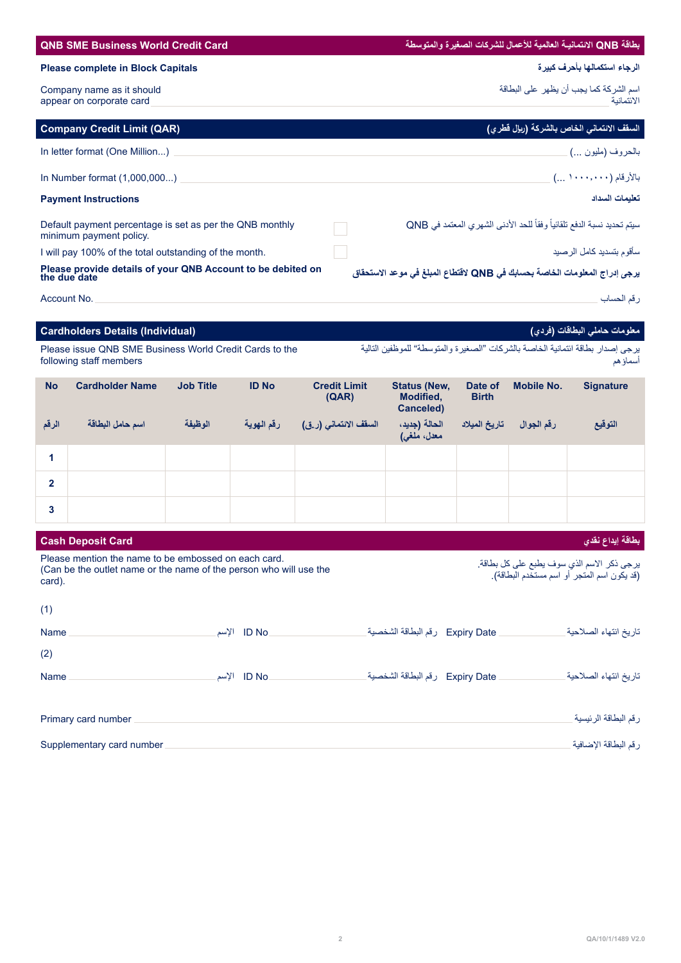|                                                       | <b>Please complete in Block Capitals</b>                                                                                   |                  |              |                              |                                               |                         |                          | الرجاء استكمالها بأحرف كبيرة                                                               |
|-------------------------------------------------------|----------------------------------------------------------------------------------------------------------------------------|------------------|--------------|------------------------------|-----------------------------------------------|-------------------------|--------------------------|--------------------------------------------------------------------------------------------|
| Company name as it should<br>appear on corporate card |                                                                                                                            |                  |              |                              |                                               |                         |                          | اسم الشركة كما يجب أن يظهر على البطاقة<br>الائتمانية                                       |
|                                                       | <b>Company Credit Limit (QAR)</b>                                                                                          |                  |              |                              |                                               |                         |                          | السقف الائتماني الخاص بالشركة (ريإل قطري)                                                  |
|                                                       | In letter format (One Million)                                                                                             |                  |              |                              |                                               |                         |                          | بالحروف (مليون …)                                                                          |
|                                                       | In Number format (1,000,000)                                                                                               |                  |              |                              |                                               |                         |                          | بالأرقام (١٠٠٠, ١٠٠٠) )                                                                    |
|                                                       | <b>Payment Instructions</b>                                                                                                |                  |              |                              |                                               |                         |                          | تعليمات السداد                                                                             |
|                                                       | Default payment percentage is set as per the QNB monthly<br>minimum payment policy.                                        |                  |              |                              |                                               |                         |                          | سيتم تحديد نسبة الدفع تلقائياً وفقاً للحد الأدنى الشهرى المعتمد في QNB                     |
|                                                       | I will pay 100% of the total outstanding of the month.<br>Please provide details of your QNB Account to be debited on      |                  |              |                              |                                               |                         |                          | سأقوم بتسديد كامل الرصيد                                                                   |
| the due date                                          |                                                                                                                            |                  |              |                              |                                               |                         |                          | يرجى إدراج المعلومات الخاصة بحسابك في QNB لاقتطاع المبلغ في موعد الاستحقاق                 |
| Account No.                                           |                                                                                                                            |                  |              |                              |                                               |                         |                          | ر قم الحساب                                                                                |
|                                                       | <b>Cardholders Details (Individual)</b>                                                                                    |                  |              |                              |                                               |                         |                          | معلومات حاملي البطاقات (فردي)                                                              |
|                                                       | Please issue QNB SME Business World Credit Cards to the<br>following staff members                                         |                  |              |                              |                                               |                         |                          | يرجى إصدار بطاقة ائتمانية الخاصة بالشركات "الصغيرة والمتوسطة" للموظفين التالية<br>أسماؤ هم |
| <b>No</b>                                             | <b>Cardholder Name</b>                                                                                                     | <b>Job Title</b> | <b>ID No</b> | <b>Credit Limit</b><br>(AAR) | <b>Status (New,</b><br>Modified,<br>Canceled) | Date of<br><b>Birth</b> | <b>Mobile No.</b>        | <b>Signature</b>                                                                           |
| الرقم                                                 | اسم حامل البطاقة                                                                                                           | الوظيفة          | رقم الهوية   | السقف الائتماني (ر.ق)        | الحالة (جديد،<br>معدل، ملغی)                  |                         | رقم الجوال تاريخ الميلاد | التوقيع                                                                                    |
| 1                                                     |                                                                                                                            |                  |              |                              |                                               |                         |                          |                                                                                            |
| $\mathbf{2}$                                          |                                                                                                                            |                  |              |                              |                                               |                         |                          |                                                                                            |
| 3                                                     |                                                                                                                            |                  |              |                              |                                               |                         |                          |                                                                                            |
|                                                       | <b>Cash Deposit Card</b>                                                                                                   |                  |              |                              |                                               |                         |                          | بطاقة إيداع نقدي                                                                           |
| card).                                                | Please mention the name to be embossed on each card.<br>(Can be the outlet name or the name of the person who will use the |                  |              |                              |                                               |                         |                          | يرجى ذكر الاسم الذي سوف يطبع على كل بطاقة.<br>(قد يكون اسم المتجر أو اسم مستخدم البطاقة).  |
| (1)                                                   |                                                                                                                            |                  |              |                              |                                               |                         |                          |                                                                                            |
| Name<br>(2)                                           |                                                                                                                            |                  | .ID No الإسم |                              | Expiry Date    رقم البطاقة الشخصية_           |                         |                          | تاريخ انتهاء الصلاحية                                                                      |
| Name                                                  |                                                                                                                            |                  | الإسم ID No. |                              | _ Expiry Date    رقم البطاقة الشخصية _        |                         |                          | تاريخ انتهاء الصلاحية                                                                      |

**بطاقة QNB االئتمانيـة العالمية لألعمال للشركات الصغيرة والمتوسطة Card Credit World Business SME QNB**

| Primary card number       | رقم البطاقة الرئيسية _ |
|---------------------------|------------------------|
| Supplementary card number | رقم البطاقة الإضافية _ |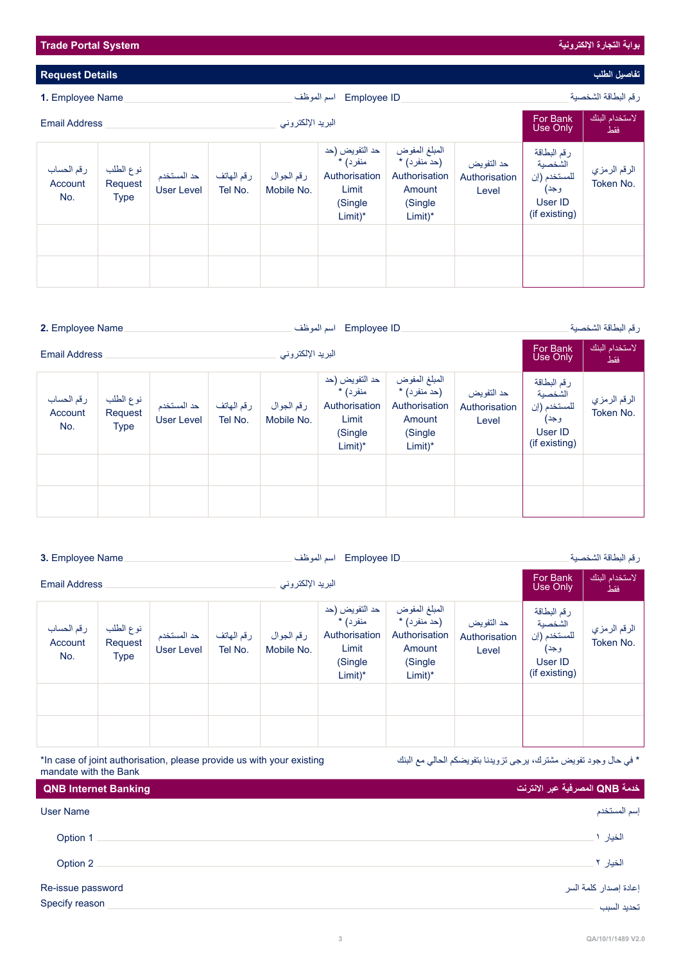| اسم الموظف<br><b>Employee ID</b><br>1. Employee Name |                                     |                                  |                       |                          | رقم البطاقة الشخصية                                                          |                                                                                    |                                      |                                                                            |                           |
|------------------------------------------------------|-------------------------------------|----------------------------------|-----------------------|--------------------------|------------------------------------------------------------------------------|------------------------------------------------------------------------------------|--------------------------------------|----------------------------------------------------------------------------|---------------------------|
| البريد الإلكتروني<br><b>Email Address</b>            |                                     |                                  |                       |                          |                                                                              | <b>For Bank</b><br>Use Only                                                        | لاستخدام البنك<br>فقط                |                                                                            |                           |
| رقم الحساب<br>Account<br>No.                         | نوع الطلب<br>Request<br><b>Type</b> | حد المستخدم<br><b>User Level</b> | رقم الهاتف<br>Tel No. | رقم الجوال<br>Mobile No. | حد التفويض (حد<br>منفرد) *<br>Authorisation<br>Limit<br>(Single<br>$Limit)*$ | المبلغ المفوض<br>(حد منفر د) *<br>Authorisation<br>Amount<br>(Single)<br>$Limit)*$ | حد التفويض<br>Authorisation<br>Level | رقم البطاقة<br>الشخصية<br>للمستخدم (إن<br>وجد)<br>User ID<br>(if existing) | الرقم الرمزي<br>Token No. |
|                                                      |                                     |                                  |                       |                          |                                                                              |                                                                                    |                                      |                                                                            |                           |
|                                                      |                                     |                                  |                       |                          |                                                                              |                                                                                    |                                      |                                                                            |                           |

| اسم الموظف<br>2. Employee Name<br>Employee ID |                                     |                                  |                       |                          |                                                                               | رقم البطاقة الشخصية                                                               |                                      |                                                                            |                           |
|-----------------------------------------------|-------------------------------------|----------------------------------|-----------------------|--------------------------|-------------------------------------------------------------------------------|-----------------------------------------------------------------------------------|--------------------------------------|----------------------------------------------------------------------------|---------------------------|
| البريد الإلكتروني<br><b>Email Address</b>     |                                     |                                  |                       |                          |                                                                               | For Bank<br><b>Use Only</b>                                                       | لاستخدام البنك<br>فقط                |                                                                            |                           |
| رقم الحساب<br>Account<br>No.                  | نوع الطلب<br>Request<br><b>Type</b> | حد المستخدم<br><b>User Level</b> | رقم الهاتف<br>Tel No. | رقم الجوال<br>Mobile No. | حد التفويض (حد<br>منفر د) *<br>Authorisation<br>Limit<br>(Single<br>$Limit)*$ | المبلغ المفوض<br>(حد منفر د) *<br>Authorisation<br>Amount<br>(Single<br>$Limit)*$ | حد التفويض<br>Authorisation<br>Level | رقم البطاقة<br>الشخصية<br>للمستخدم (إن<br>وجد)<br>User ID<br>(if existing) | الرقم الرمزي<br>Token No. |
|                                               |                                     |                                  |                       |                          |                                                                               |                                                                                   |                                      |                                                                            |                           |

| اسم الموظف<br>Employee ID<br>3. Employee Name |                                     |                                  |                       |                          | رقم البطاقة الشخصية                                                            |                                                                                   |                                      |                                                                            |                           |
|-----------------------------------------------|-------------------------------------|----------------------------------|-----------------------|--------------------------|--------------------------------------------------------------------------------|-----------------------------------------------------------------------------------|--------------------------------------|----------------------------------------------------------------------------|---------------------------|
| البريد الإلكتروني<br><b>Email Address</b>     |                                     |                                  |                       |                          |                                                                                | For Bank<br>Use Only                                                              | لاستخدام البنك<br>فقط                |                                                                            |                           |
| رقم الحساب<br>Account<br>No.                  | نوع الطلب<br>Request<br><b>Type</b> | حد المستخدم<br><b>User Level</b> | رقم الهاتف<br>Tel No. | رقم الجوال<br>Mobile No. | حد التفويض (حد<br>منفر د) *<br>Authorisation<br>Limit<br>(Single)<br>$Limit)*$ | المبلغ المفوض<br>(حد منفر د) *<br>Authorisation<br>Amount<br>(Single<br>$Limit)*$ | حد التفويض<br>Authorisation<br>Level | رقم البطاقة<br>الشخصية<br>للمستخدم (إن<br>وجد)<br>User ID<br>(if existing) | الرقم الرمزي<br>Token No. |
|                                               |                                     |                                  |                       |                          |                                                                                |                                                                                   |                                      |                                                                            |                           |
|                                               |                                     |                                  |                       |                          |                                                                                |                                                                                   |                                      |                                                                            |                           |

\*In case of joint authorisation, please provide us with your existing mandate with the Bank

\* في حال وجود تفويض مشترك، يرجى تزويدنا بتفويضكم الحالي مع البنك

| <b>QNB Internet Banking</b> | خدمة QNB المصرفية عبر الانترنت |
|-----------------------------|--------------------------------|
| User Name                   | إسم المستخدم                   |
| Option 1                    | الخيار ١                       |
| Option 2                    | الخيار ٢.                      |
| Re-issue password           | إعادة إصدار كلمة السر          |
| Specify reason              | تحديد السبب                    |